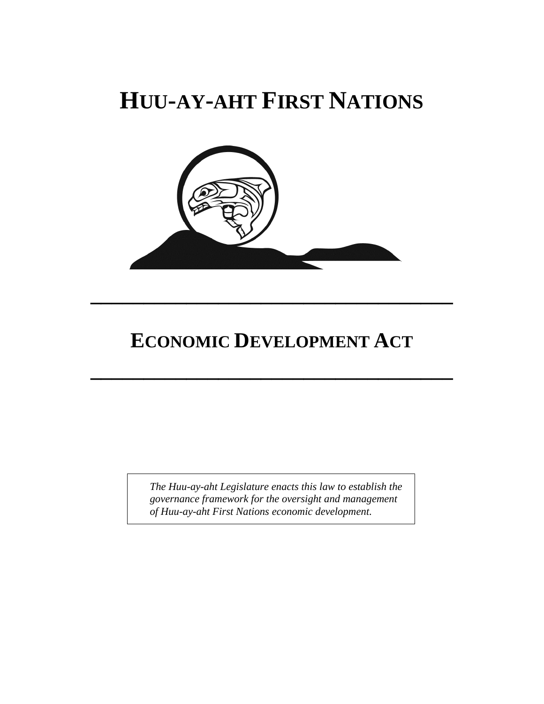# **HUU-AY-AHT FIRST NATIONS**



## **ECONOMIC DEVELOPMENT ACT**

**\_\_\_\_\_\_\_\_\_\_\_\_\_\_\_\_\_\_\_\_\_\_\_\_\_\_\_\_\_\_\_\_\_\_**

**\_\_\_\_\_\_\_\_\_\_\_\_\_\_\_\_\_\_\_\_\_\_\_\_\_\_\_\_\_\_\_\_\_\_**

*The Huu-ay-aht Legislature enacts this law to establish the governance framework for the oversight and management of Huu-ay-aht First Nations economic development.*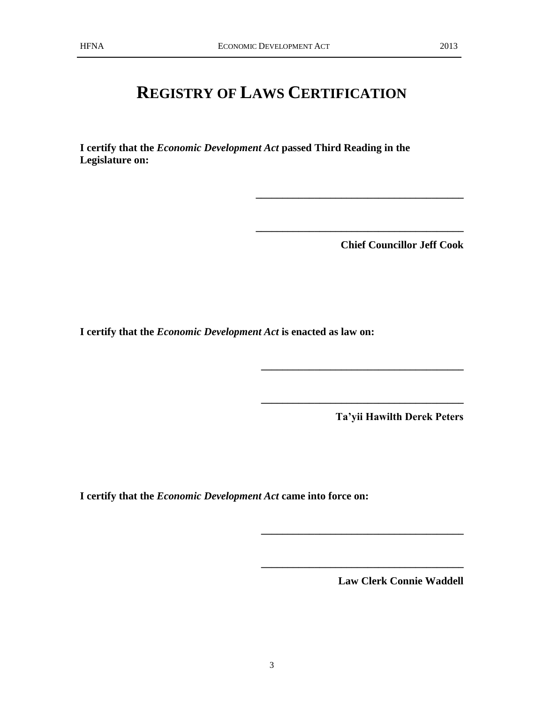## **REGISTRY OF LAWS CERTIFICATION**

**I certify that the** *Economic Development Act* **passed Third Reading in the Legislature on:**

**Chief Councillor Jeff Cook**

**\_\_\_\_\_\_\_\_\_\_\_\_\_\_\_\_\_\_\_\_\_\_\_\_\_\_\_\_\_\_\_\_\_\_\_\_\_\_\_**

**\_\_\_\_\_\_\_\_\_\_\_\_\_\_\_\_\_\_\_\_\_\_\_\_\_\_\_\_\_\_\_\_\_\_\_\_\_\_\_**

**\_\_\_\_\_\_\_\_\_\_\_\_\_\_\_\_\_\_\_\_\_\_\_\_\_\_\_\_\_\_\_\_\_\_\_\_\_\_**

**\_\_\_\_\_\_\_\_\_\_\_\_\_\_\_\_\_\_\_\_\_\_\_\_\_\_\_\_\_\_\_\_\_\_\_\_\_\_**

**\_\_\_\_\_\_\_\_\_\_\_\_\_\_\_\_\_\_\_\_\_\_\_\_\_\_\_\_\_\_\_\_\_\_\_\_\_\_**

**\_\_\_\_\_\_\_\_\_\_\_\_\_\_\_\_\_\_\_\_\_\_\_\_\_\_\_\_\_\_\_\_\_\_\_\_\_\_**

**I certify that the** *Economic Development Act* **is enacted as law on:**

**Ta'yii Hawilth Derek Peters**

**I certify that the** *Economic Development Act* **came into force on:**

**Law Clerk Connie Waddell**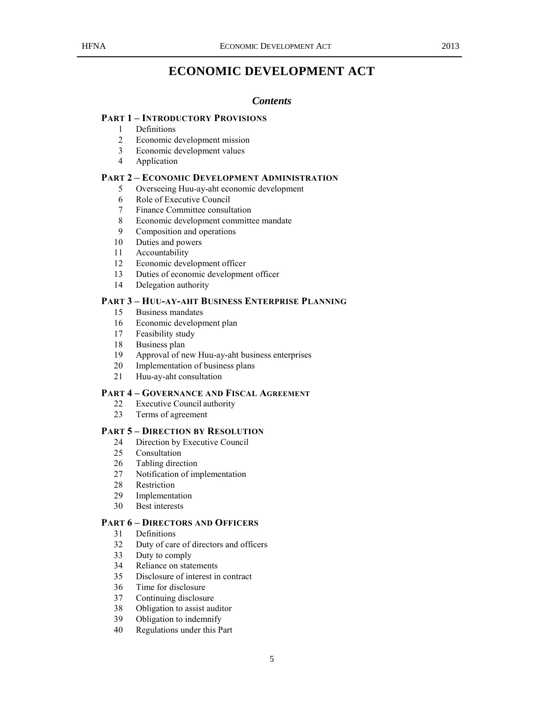## **ECONOMIC DEVELOPMENT ACT**

#### *Contents*

#### **PART 1 – INTRODUCTORY PROVISIONS**

- Definitions
- Economic development mission
- Economic development values
- Application

#### **PART 2 – ECONOMIC DEVELOPMENT ADMINISTRATION**

- Overseeing Huu-ay-aht economic development
- Role of Executive Council
- Finance Committee consultation
- Economic development committee mandate
- Composition and operations
- Duties and powers
- Accountability
- Economic development officer
- Duties of economic development officer
- Delegation authority

#### **PART 3 – HUU-AY-AHT BUSINESS ENTERPRISE PLANNING**

- Business mandates
- Economic development plan
- Feasibility study
- Business plan
- Approval of new Huu-ay-aht business enterprises
- Implementation of business plans
- Huu-ay-aht consultation

#### **PART 4 – GOVERNANCE AND FISCAL AGREEMENT**

- Executive Council authority
- Terms of agreement

#### **PART 5 – DIRECTION BY RESOLUTION**

- Direction by Executive Council
- Consultation
- Tabling direction
- Notification of implementation
- Restriction
- Implementation
- Best interests

#### **PART 6 – DIRECTORS AND OFFICERS**

- Definitions
- Duty of care of directors and officers
- Duty to comply
- Reliance on statements
- Disclosure of interest in contract
- Time for disclosure
- Continuing disclosure
- Obligation to assist auditor
- Obligation to indemnify
- Regulations under this Part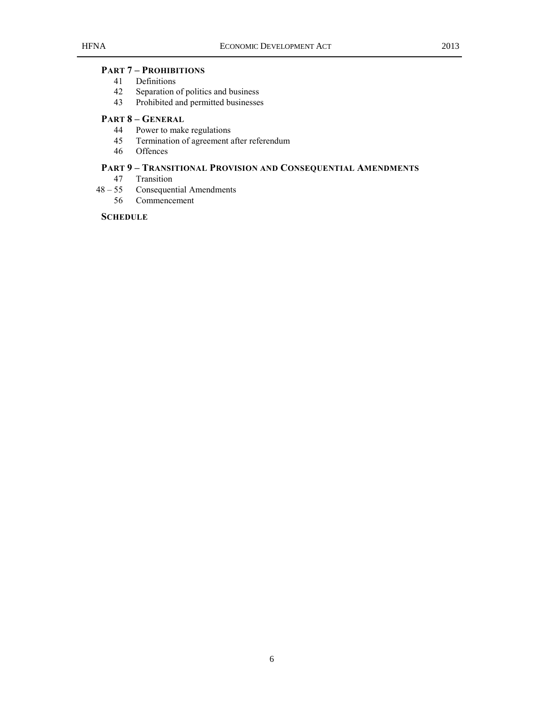## **PART 7 – PROHIBITIONS**

- Definitions
- Separation of politics and business
- Prohibited and permitted businesses

## **PART 8 – GENERAL**

- Power to make regulations
- Termination of agreement after referendum
- Offences

## **PART 9 – TRANSITIONAL PROVISION AND CONSEQUENTIAL AMENDMENTS**

- Transition
- 55 Consequential Amendments
	- Commencement

#### **SCHEDULE**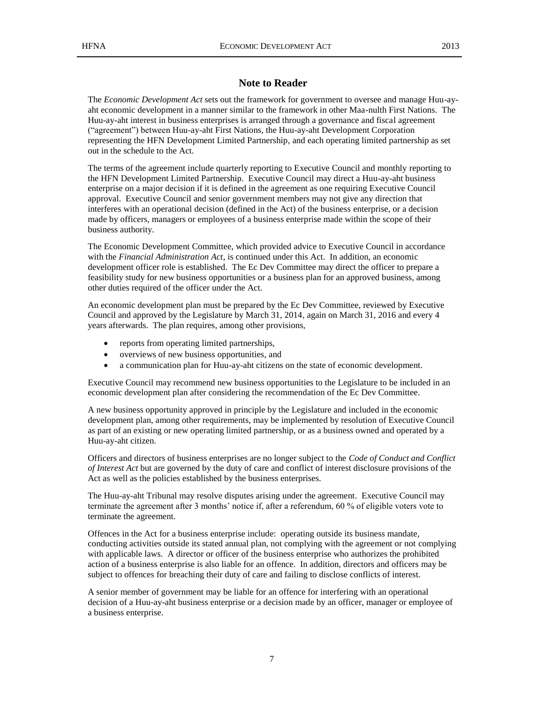### **Note to Reader**

The *Economic Development Act* sets out the framework for government to oversee and manage Huu-ayaht economic development in a manner similar to the framework in other Maa-nulth First Nations. The Huu-ay-aht interest in business enterprises is arranged through a governance and fiscal agreement ("agreement") between Huu-ay-aht First Nations, the Huu-ay-aht Development Corporation representing the HFN Development Limited Partnership, and each operating limited partnership as set out in the schedule to the Act.

The terms of the agreement include quarterly reporting to Executive Council and monthly reporting to the HFN Development Limited Partnership. Executive Council may direct a Huu-ay-aht business enterprise on a major decision if it is defined in the agreement as one requiring Executive Council approval. Executive Council and senior government members may not give any direction that interferes with an operational decision (defined in the Act) of the business enterprise, or a decision made by officers, managers or employees of a business enterprise made within the scope of their business authority.

The Economic Development Committee, which provided advice to Executive Council in accordance with the *Financial Administration Act*, is continued under this Act. In addition, an economic development officer role is established. The Ec Dev Committee may direct the officer to prepare a feasibility study for new business opportunities or a business plan for an approved business, among other duties required of the officer under the Act.

An economic development plan must be prepared by the Ec Dev Committee, reviewed by Executive Council and approved by the Legislature by March 31, 2014, again on March 31, 2016 and every 4 years afterwards. The plan requires, among other provisions,

- reports from operating limited partnerships,
- overviews of new business opportunities, and
- a communication plan for Huu-ay-aht citizens on the state of economic development.

Executive Council may recommend new business opportunities to the Legislature to be included in an economic development plan after considering the recommendation of the Ec Dev Committee.

A new business opportunity approved in principle by the Legislature and included in the economic development plan, among other requirements, may be implemented by resolution of Executive Council as part of an existing or new operating limited partnership, or as a business owned and operated by a Huu-ay-aht citizen.

Officers and directors of business enterprises are no longer subject to the *Code of Conduct and Conflict of Interest Act* but are governed by the duty of care and conflict of interest disclosure provisions of the Act as well as the policies established by the business enterprises.

The Huu-ay-aht Tribunal may resolve disputes arising under the agreement. Executive Council may terminate the agreement after 3 months' notice if, after a referendum, 60 % of eligible voters vote to terminate the agreement.

Offences in the Act for a business enterprise include: operating outside its business mandate, conducting activities outside its stated annual plan, not complying with the agreement or not complying with applicable laws. A director or officer of the business enterprise who authorizes the prohibited action of a business enterprise is also liable for an offence. In addition, directors and officers may be subject to offences for breaching their duty of care and failing to disclose conflicts of interest.

A senior member of government may be liable for an offence for interfering with an operational decision of a Huu-ay-aht business enterprise or a decision made by an officer, manager or employee of a business enterprise.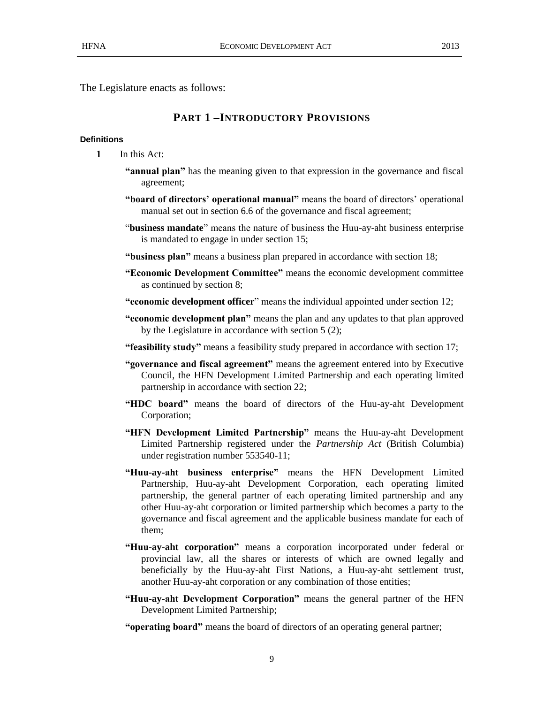The Legislature enacts as follows:

## **PART 1 –INTRODUCTORY PROVISIONS**

#### **Definitions**

- **1** In this Act:
	- **"annual plan"** has the meaning given to that expression in the governance and fiscal agreement;
	- **"board of directors' operational manual"** means the board of directors' operational manual set out in section 6.6 of the governance and fiscal agreement;
	- "**business mandate**" means the nature of business the Huu-ay-aht business enterprise is mandated to engage in under section 15;
	- **"business plan"** means a business plan prepared in accordance with section 18;
	- **"Economic Development Committee"** means the economic development committee as continued by section 8;
	- **"economic development officer**" means the individual appointed under section 12;
	- **"economic development plan"** means the plan and any updates to that plan approved by the Legislature in accordance with section 5 (2);
	- **"feasibility study"** means a feasibility study prepared in accordance with section 17;
	- **"governance and fiscal agreement"** means the agreement entered into by Executive Council, the HFN Development Limited Partnership and each operating limited partnership in accordance with section 22;
	- **"HDC board"** means the board of directors of the Huu-ay-aht Development Corporation;
	- **"HFN Development Limited Partnership"** means the Huu-ay-aht Development Limited Partnership registered under the *Partnership Act* (British Columbia) under registration number 553540-11;
	- **"Huu-ay-aht business enterprise"** means the HFN Development Limited Partnership, Huu-ay-aht Development Corporation, each operating limited partnership, the general partner of each operating limited partnership and any other Huu-ay-aht corporation or limited partnership which becomes a party to the governance and fiscal agreement and the applicable business mandate for each of them;
	- **"Huu-ay-aht corporation"** means a corporation incorporated under federal or provincial law, all the shares or interests of which are owned legally and beneficially by the Huu-ay-aht First Nations, a Huu-ay-aht settlement trust, another Huu-ay-aht corporation or any combination of those entities;
	- **"Huu-ay-aht Development Corporation"** means the general partner of the HFN Development Limited Partnership;

**"operating board"** means the board of directors of an operating general partner;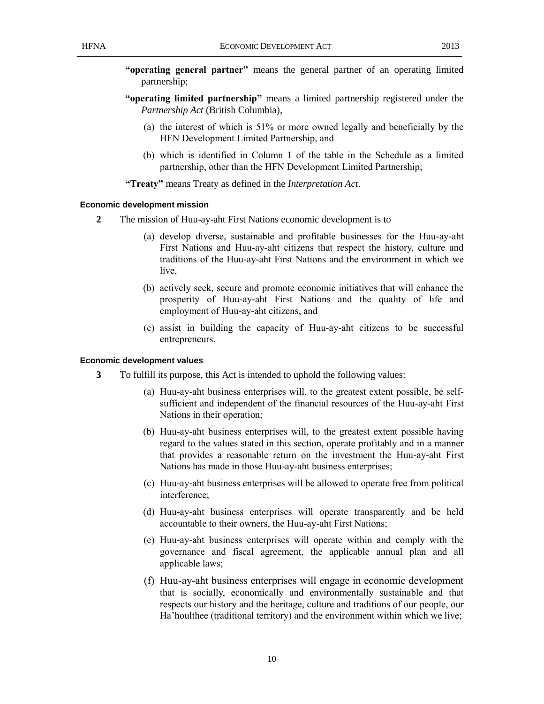- **"operating general partner"** means the general partner of an operating limited partnership;
- **"operating limited partnership"** means a limited partnership registered under the *Partnership Act* (British Columbia),
	- (a) the interest of which is 51% or more owned legally and beneficially by the HFN Development Limited Partnership, and
	- (b) which is identified in Column 1 of the table in the Schedule as a limited partnership, other than the HFN Development Limited Partnership;

**"Treaty"** means Treaty as defined in the *Interpretation Act*.

#### **Economic development mission**

- **2** The mission of Huu-ay-aht First Nations economic development is to
	- (a) develop diverse, sustainable and profitable businesses for the Huu-ay-aht First Nations and Huu-ay-aht citizens that respect the history, culture and traditions of the Huu-ay-aht First Nations and the environment in which we live,
	- (b) actively seek, secure and promote economic initiatives that will enhance the prosperity of Huu-ay-aht First Nations and the quality of life and employment of Huu-ay-aht citizens, and
	- (c) assist in building the capacity of Huu-ay-aht citizens to be successful entrepreneurs.

#### **Economic development values**

- **3** To fulfill its purpose, this Act is intended to uphold the following values:
	- (a) Huu-ay-aht business enterprises will, to the greatest extent possible, be selfsufficient and independent of the financial resources of the Huu-ay-aht First Nations in their operation;
	- (b) Huu-ay-aht business enterprises will, to the greatest extent possible having regard to the values stated in this section, operate profitably and in a manner that provides a reasonable return on the investment the Huu-ay-aht First Nations has made in those Huu-ay-aht business enterprises;
	- (c) Huu-ay-aht business enterprises will be allowed to operate free from political interference;
	- (d) Huu-ay-aht business enterprises will operate transparently and be held accountable to their owners, the Huu-ay-aht First Nations;
	- (e) Huu-ay-aht business enterprises will operate within and comply with the governance and fiscal agreement, the applicable annual plan and all applicable laws:
	- (f) Huu-ay-aht business enterprises will engage in economic development that is socially, economically and environmentally sustainable and that respects our history and the heritage, culture and traditions of our people, our Ha'houlthee (traditional territory) and the environment within which we live;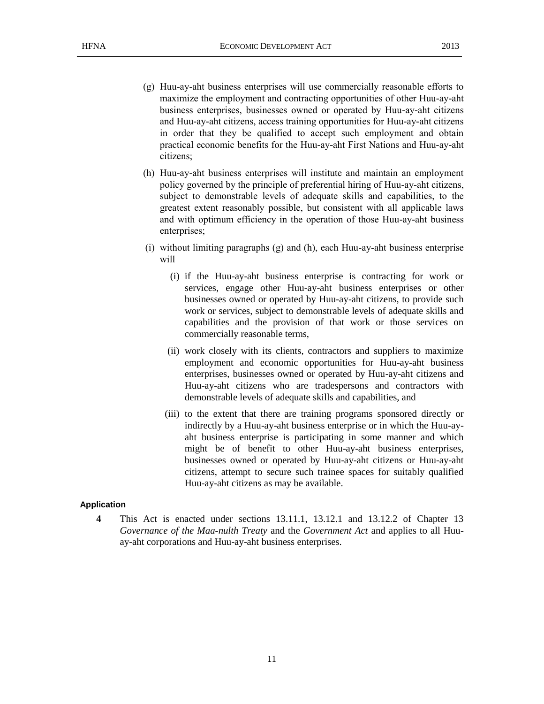- (g) Huu-ay-aht business enterprises will use commercially reasonable efforts to maximize the employment and contracting opportunities of other Huu-ay-aht business enterprises, businesses owned or operated by Huu-ay-aht citizens and Huu-ay-aht citizens, access training opportunities for Huu-ay-aht citizens in order that they be qualified to accept such employment and obtain practical economic benefits for the Huu-ay-aht First Nations and Huu-ay-aht citizens;
- (h) Huu-ay-aht business enterprises will institute and maintain an employment policy governed by the principle of preferential hiring of Huu-ay-aht citizens, subject to demonstrable levels of adequate skills and capabilities, to the greatest extent reasonably possible, but consistent with all applicable laws and with optimum efficiency in the operation of those Huu-ay-aht business enterprises;
- (i) without limiting paragraphs (g) and (h), each Huu-ay-aht business enterprise will
	- (i) if the Huu-ay-aht business enterprise is contracting for work or services, engage other Huu-ay-aht business enterprises or other businesses owned or operated by Huu-ay-aht citizens, to provide such work or services, subject to demonstrable levels of adequate skills and capabilities and the provision of that work or those services on commercially reasonable terms,
	- (ii) work closely with its clients, contractors and suppliers to maximize employment and economic opportunities for Huu-ay-aht business enterprises, businesses owned or operated by Huu-ay-aht citizens and Huu-ay-aht citizens who are tradespersons and contractors with demonstrable levels of adequate skills and capabilities, and
	- (iii) to the extent that there are training programs sponsored directly or indirectly by a Huu-ay-aht business enterprise or in which the Huu-ayaht business enterprise is participating in some manner and which might be of benefit to other Huu-ay-aht business enterprises, businesses owned or operated by Huu-ay-aht citizens or Huu-ay-aht citizens, attempt to secure such trainee spaces for suitably qualified Huu-ay-aht citizens as may be available.

#### **Application**

**4** This Act is enacted under sections 13.11.1, 13.12.1 and 13.12.2 of Chapter 13 *Governance of the Maa-nulth Treaty* and the *Government Act* and applies to all Huuay-aht corporations and Huu-ay-aht business enterprises.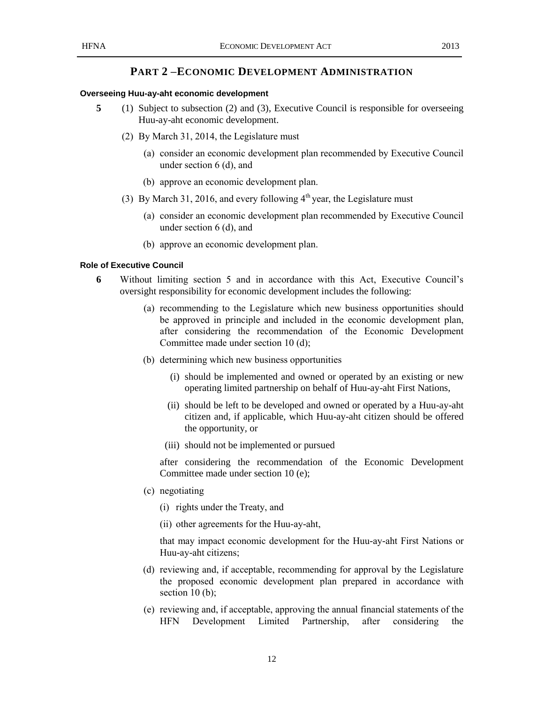## **PART 2 –ECONOMIC DEVELOPMENT ADMINISTRATION**

#### **Overseeing Huu-ay-aht economic development**

- **5** (1) Subject to subsection (2) and (3), Executive Council is responsible for overseeing Huu-ay-aht economic development.
	- (2) By March 31, 2014, the Legislature must
		- (a) consider an economic development plan recommended by Executive Council under section 6 (d), and
		- (b) approve an economic development plan.
	- (3) By March 31, 2016, and every following  $4<sup>th</sup>$  year, the Legislature must
		- (a) consider an economic development plan recommended by Executive Council under section 6 (d), and
		- (b) approve an economic development plan.

#### **Role of Executive Council**

- **6** Without limiting section 5 and in accordance with this Act, Executive Council's oversight responsibility for economic development includes the following:
	- (a) recommending to the Legislature which new business opportunities should be approved in principle and included in the economic development plan, after considering the recommendation of the Economic Development Committee made under section 10 (d);
	- (b) determining which new business opportunities
		- (i) should be implemented and owned or operated by an existing or new operating limited partnership on behalf of Huu-ay-aht First Nations,
		- (ii) should be left to be developed and owned or operated by a Huu-ay-aht citizen and, if applicable, which Huu-ay-aht citizen should be offered the opportunity, or
		- (iii) should not be implemented or pursued

after considering the recommendation of the Economic Development Committee made under section 10 (e);

- (c) negotiating
	- (i) rights under the Treaty, and
	- (ii) other agreements for the Huu-ay-aht,

that may impact economic development for the Huu-ay-aht First Nations or Huu-ay-aht citizens;

- (d) reviewing and, if acceptable, recommending for approval by the Legislature the proposed economic development plan prepared in accordance with section 10 (b):
- (e) reviewing and, if acceptable, approving the annual financial statements of the HFN Development Limited Partnership, after considering the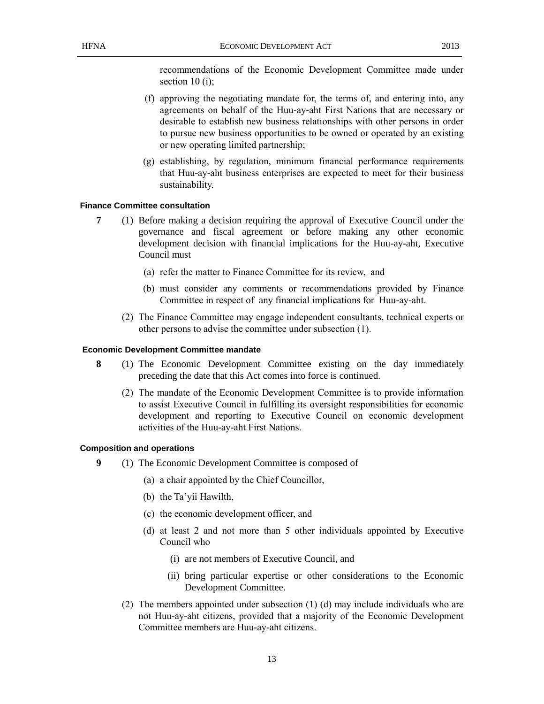recommendations of the Economic Development Committee made under section 10 (i);

- (f) approving the negotiating mandate for, the terms of, and entering into, any agreements on behalf of the Huu-ay-aht First Nations that are necessary or desirable to establish new business relationships with other persons in order to pursue new business opportunities to be owned or operated by an existing or new operating limited partnership;
- (g) establishing, by regulation, minimum financial performance requirements that Huu-ay-aht business enterprises are expected to meet for their business sustainability.

#### **Finance Committee consultation**

- **7** (1) Before making a decision requiring the approval of Executive Council under the governance and fiscal agreement or before making any other economic development decision with financial implications for the Huu-ay-aht, Executive Council must
	- (a) refer the matter to Finance Committee for its review, and
	- (b) must consider any comments or recommendations provided by Finance Committee in respect of any financial implications for Huu-ay-aht.
	- (2) The Finance Committee may engage independent consultants, technical experts or other persons to advise the committee under subsection (1).

#### **Economic Development Committee mandate**

- **8** (1) The Economic Development Committee existing on the day immediately preceding the date that this Act comes into force is continued.
	- (2) The mandate of the Economic Development Committee is to provide information to assist Executive Council in fulfilling its oversight responsibilities for economic development and reporting to Executive Council on economic development activities of the Huu-ay-aht First Nations.

#### **Composition and operations**

- **9** (1) The Economic Development Committee is composed of
	- (a) a chair appointed by the Chief Councillor,
	- (b) the Ta'yii Hawilth,
	- (c) the economic development officer, and
	- (d) at least 2 and not more than 5 other individuals appointed by Executive Council who
		- (i) are not members of Executive Council, and
		- (ii) bring particular expertise or other considerations to the Economic Development Committee.
	- (2) The members appointed under subsection (1) (d) may include individuals who are not Huu-ay-aht citizens, provided that a majority of the Economic Development Committee members are Huu-ay-aht citizens.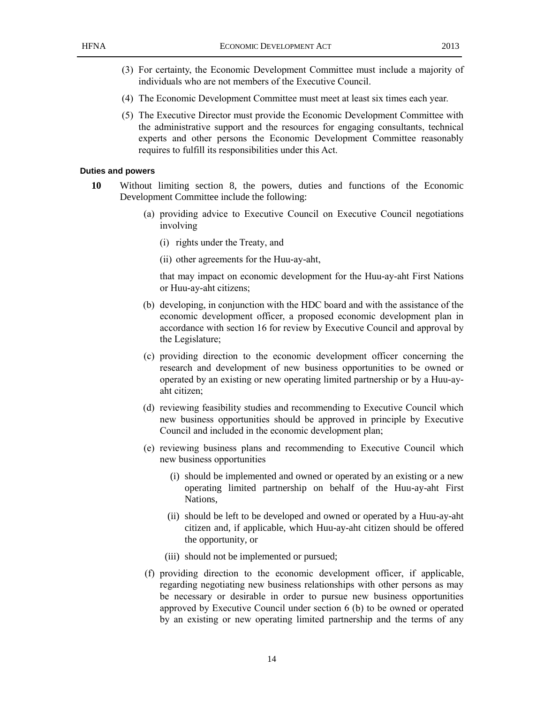- (3) For certainty, the Economic Development Committee must include a majority of individuals who are not members of the Executive Council.
- (4) The Economic Development Committee must meet at least six times each year.
- (5) The Executive Director must provide the Economic Development Committee with the administrative support and the resources for engaging consultants, technical experts and other persons the Economic Development Committee reasonably requires to fulfill its responsibilities under this Act.

#### **Duties and powers**

- **10** Without limiting section 8, the powers, duties and functions of the Economic Development Committee include the following:
	- (a) providing advice to Executive Council on Executive Council negotiations involving
		- (i) rights under the Treaty, and
		- (ii) other agreements for the Huu-ay-aht,

that may impact on economic development for the Huu-ay-aht First Nations or Huu-ay-aht citizens;

- (b) developing, in conjunction with the HDC board and with the assistance of the economic development officer, a proposed economic development plan in accordance with section 16 for review by Executive Council and approval by the Legislature;
- (c) providing direction to the economic development officer concerning the research and development of new business opportunities to be owned or operated by an existing or new operating limited partnership or by a Huu-ayaht citizen;
- (d) reviewing feasibility studies and recommending to Executive Council which new business opportunities should be approved in principle by Executive Council and included in the economic development plan;
- (e) reviewing business plans and recommending to Executive Council which new business opportunities
	- (i) should be implemented and owned or operated by an existing or a new operating limited partnership on behalf of the Huu-ay-aht First Nations,
	- (ii) should be left to be developed and owned or operated by a Huu-ay-aht citizen and, if applicable, which Huu-ay-aht citizen should be offered the opportunity, or
	- (iii) should not be implemented or pursued;
- (f) providing direction to the economic development officer, if applicable, regarding negotiating new business relationships with other persons as may be necessary or desirable in order to pursue new business opportunities approved by Executive Council under section 6 (b) to be owned or operated by an existing or new operating limited partnership and the terms of any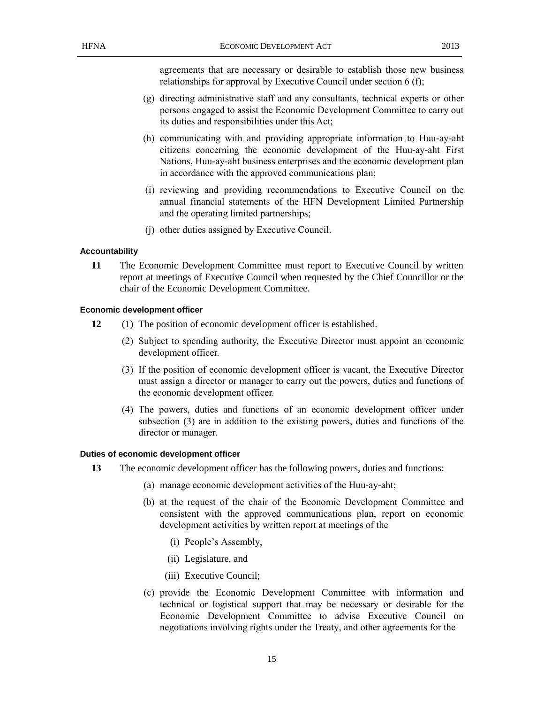agreements that are necessary or desirable to establish those new business relationships for approval by Executive Council under section 6 (f);

- (g) directing administrative staff and any consultants, technical experts or other persons engaged to assist the Economic Development Committee to carry out its duties and responsibilities under this Act;
- (h) communicating with and providing appropriate information to Huu-ay-aht citizens concerning the economic development of the Huu-ay-aht First Nations, Huu-ay-aht business enterprises and the economic development plan in accordance with the approved communications plan;
- (i) reviewing and providing recommendations to Executive Council on the annual financial statements of the HFN Development Limited Partnership and the operating limited partnerships;
- (j) other duties assigned by Executive Council.

#### **Accountability**

**11** The Economic Development Committee must report to Executive Council by written report at meetings of Executive Council when requested by the Chief Councillor or the chair of the Economic Development Committee.

#### **Economic development officer**

- **12** (1) The position of economic development officer is established.
	- (2) Subject to spending authority, the Executive Director must appoint an economic development officer.
	- (3) If the position of economic development officer is vacant, the Executive Director must assign a director or manager to carry out the powers, duties and functions of the economic development officer.
	- (4) The powers, duties and functions of an economic development officer under subsection (3) are in addition to the existing powers, duties and functions of the director or manager.

#### **Duties of economic development officer**

- **13** The economic development officer has the following powers, duties and functions:
	- (a) manage economic development activities of the Huu-ay-aht;
	- (b) at the request of the chair of the Economic Development Committee and consistent with the approved communications plan, report on economic development activities by written report at meetings of the
		- (i) People's Assembly,
		- (ii) Legislature, and
		- (iii) Executive Council;
	- (c) provide the Economic Development Committee with information and technical or logistical support that may be necessary or desirable for the Economic Development Committee to advise Executive Council on negotiations involving rights under the Treaty, and other agreements for the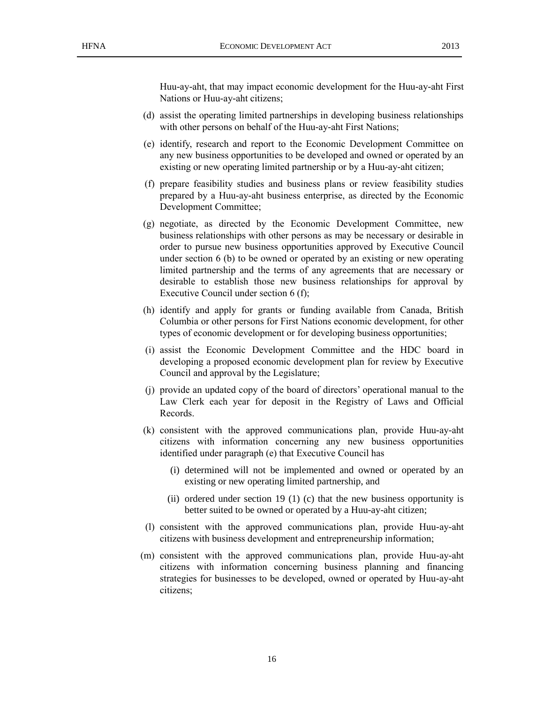Huu-ay-aht, that may impact economic development for the Huu-ay-aht First Nations or Huu-ay-aht citizens;

- (d) assist the operating limited partnerships in developing business relationships with other persons on behalf of the Huu-ay-aht First Nations;
- (e) identify, research and report to the Economic Development Committee on any new business opportunities to be developed and owned or operated by an existing or new operating limited partnership or by a Huu-ay-aht citizen;
- (f) prepare feasibility studies and business plans or review feasibility studies prepared by a Huu-ay-aht business enterprise, as directed by the Economic Development Committee;
- (g) negotiate, as directed by the Economic Development Committee, new business relationships with other persons as may be necessary or desirable in order to pursue new business opportunities approved by Executive Council under section 6 (b) to be owned or operated by an existing or new operating limited partnership and the terms of any agreements that are necessary or desirable to establish those new business relationships for approval by Executive Council under section 6 (f);
- (h) identify and apply for grants or funding available from Canada, British Columbia or other persons for First Nations economic development, for other types of economic development or for developing business opportunities;
- (i) assist the Economic Development Committee and the HDC board in developing a proposed economic development plan for review by Executive Council and approval by the Legislature;
- (j) provide an updated copy of the board of directors' operational manual to the Law Clerk each year for deposit in the Registry of Laws and Official Records.
- (k) consistent with the approved communications plan, provide Huu-ay-aht citizens with information concerning any new business opportunities identified under paragraph (e) that Executive Council has
	- (i) determined will not be implemented and owned or operated by an existing or new operating limited partnership, and
	- (ii) ordered under section 19 (1) (c) that the new business opportunity is better suited to be owned or operated by a Huu-ay-aht citizen;
- (l) consistent with the approved communications plan, provide Huu-ay-aht citizens with business development and entrepreneurship information;
- (m) consistent with the approved communications plan, provide Huu-ay-aht citizens with information concerning business planning and financing strategies for businesses to be developed, owned or operated by Huu-ay-aht citizens;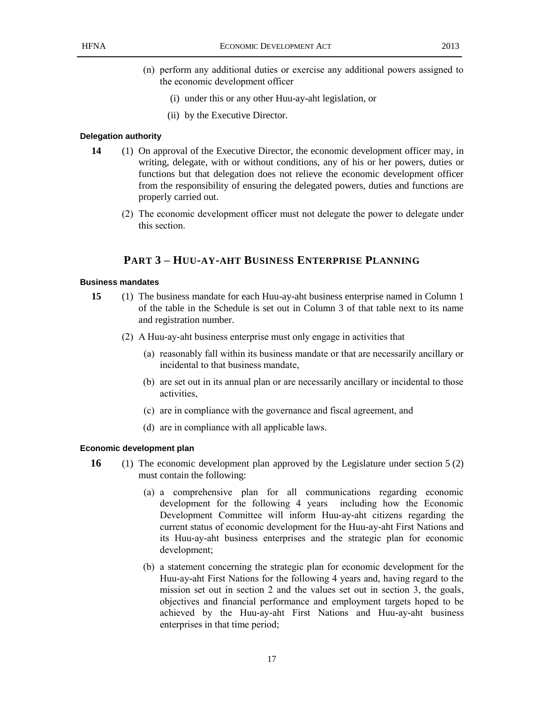- (n) perform any additional duties or exercise any additional powers assigned to the economic development officer
	- (i) under this or any other Huu-ay-aht legislation, or
	- (ii) by the Executive Director.

#### **Delegation authority**

- **14** (1) On approval of the Executive Director, the economic development officer may, in writing, delegate, with or without conditions, any of his or her powers, duties or functions but that delegation does not relieve the economic development officer from the responsibility of ensuring the delegated powers, duties and functions are properly carried out.
	- (2) The economic development officer must not delegate the power to delegate under this section.

## **PART 3 – HUU-AY-AHT BUSINESS ENTERPRISE PLANNING**

#### **Business mandates**

- **15** (1) The business mandate for each Huu-ay-aht business enterprise named in Column 1 of the table in the Schedule is set out in Column 3 of that table next to its name and registration number.
	- (2) A Huu-ay-aht business enterprise must only engage in activities that
		- (a) reasonably fall within its business mandate or that are necessarily ancillary or incidental to that business mandate,
		- (b) are set out in its annual plan or are necessarily ancillary or incidental to those activities,
		- (c) are in compliance with the governance and fiscal agreement, and
		- (d) are in compliance with all applicable laws.

#### **Economic development plan**

- **16** (1) The economic development plan approved by the Legislature under section 5 (2) must contain the following:
	- (a) a comprehensive plan for all communications regarding economic development for the following 4 years including how the Economic Development Committee will inform Huu-ay-aht citizens regarding the current status of economic development for the Huu-ay-aht First Nations and its Huu-ay-aht business enterprises and the strategic plan for economic development;
	- (b) a statement concerning the strategic plan for economic development for the Huu-ay-aht First Nations for the following 4 years and, having regard to the mission set out in section 2 and the values set out in section 3, the goals, objectives and financial performance and employment targets hoped to be achieved by the Huu-ay-aht First Nations and Huu-ay-aht business enterprises in that time period;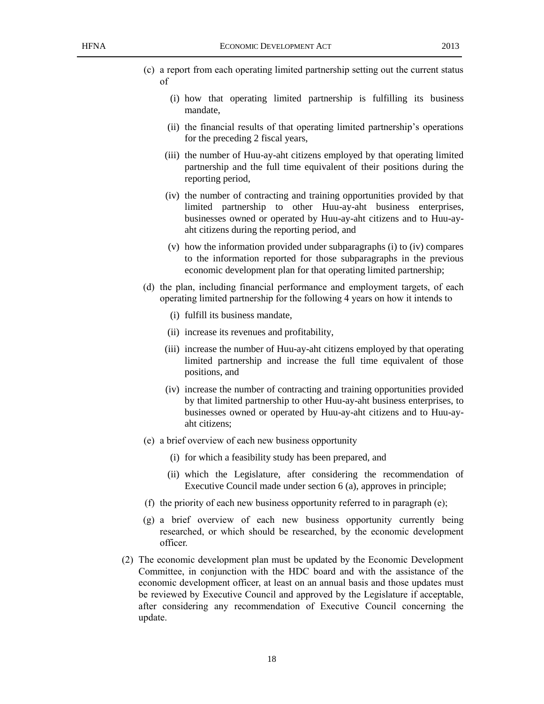- (c) a report from each operating limited partnership setting out the current status of
	- (i) how that operating limited partnership is fulfilling its business mandate,
	- (ii) the financial results of that operating limited partnership's operations for the preceding 2 fiscal years,
	- (iii) the number of Huu-ay-aht citizens employed by that operating limited partnership and the full time equivalent of their positions during the reporting period,
	- (iv) the number of contracting and training opportunities provided by that limited partnership to other Huu-ay-aht business enterprises, businesses owned or operated by Huu-ay-aht citizens and to Huu-ayaht citizens during the reporting period, and
	- (v) how the information provided under subparagraphs (i) to (iv) compares to the information reported for those subparagraphs in the previous economic development plan for that operating limited partnership;
- (d) the plan, including financial performance and employment targets, of each operating limited partnership for the following 4 years on how it intends to
	- (i) fulfill its business mandate,
	- (ii) increase its revenues and profitability,
	- (iii) increase the number of Huu-ay-aht citizens employed by that operating limited partnership and increase the full time equivalent of those positions, and
	- (iv) increase the number of contracting and training opportunities provided by that limited partnership to other Huu-ay-aht business enterprises, to businesses owned or operated by Huu-ay-aht citizens and to Huu-ayaht citizens;
- (e) a brief overview of each new business opportunity
	- (i) for which a feasibility study has been prepared, and
	- (ii) which the Legislature, after considering the recommendation of Executive Council made under section 6 (a), approves in principle;
- (f) the priority of each new business opportunity referred to in paragraph (e);
- (g) a brief overview of each new business opportunity currently being researched, or which should be researched, by the economic development officer.
- (2) The economic development plan must be updated by the Economic Development Committee, in conjunction with the HDC board and with the assistance of the economic development officer, at least on an annual basis and those updates must be reviewed by Executive Council and approved by the Legislature if acceptable, after considering any recommendation of Executive Council concerning the update.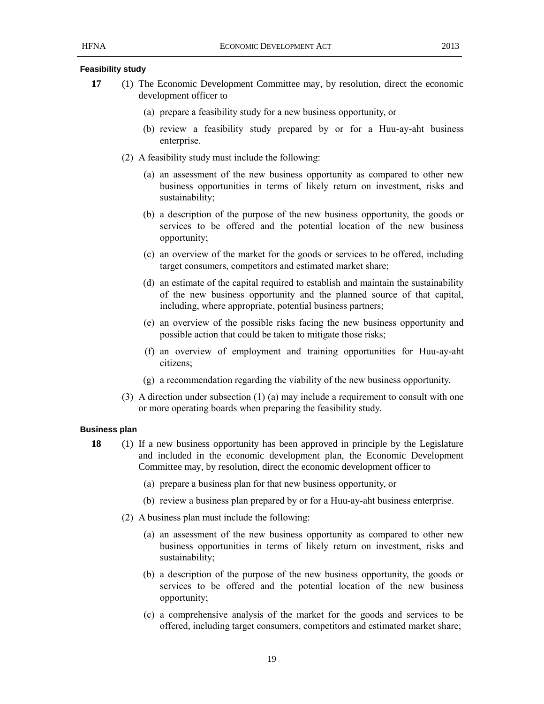#### **Feasibility study**

- **17** (1) The Economic Development Committee may, by resolution, direct the economic development officer to
	- (a) prepare a feasibility study for a new business opportunity, or
	- (b) review a feasibility study prepared by or for a Huu-ay-aht business enterprise.
	- (2) A feasibility study must include the following:
		- (a) an assessment of the new business opportunity as compared to other new business opportunities in terms of likely return on investment, risks and sustainability;
		- (b) a description of the purpose of the new business opportunity, the goods or services to be offered and the potential location of the new business opportunity;
		- (c) an overview of the market for the goods or services to be offered, including target consumers, competitors and estimated market share;
		- (d) an estimate of the capital required to establish and maintain the sustainability of the new business opportunity and the planned source of that capital, including, where appropriate, potential business partners;
		- (e) an overview of the possible risks facing the new business opportunity and possible action that could be taken to mitigate those risks;
		- (f) an overview of employment and training opportunities for Huu-ay-aht citizens;
		- (g) a recommendation regarding the viability of the new business opportunity.
	- (3) A direction under subsection (1) (a) may include a requirement to consult with one or more operating boards when preparing the feasibility study.

#### **Business plan**

- **18** (1) If a new business opportunity has been approved in principle by the Legislature and included in the economic development plan, the Economic Development Committee may, by resolution, direct the economic development officer to
	- (a) prepare a business plan for that new business opportunity, or
	- (b) review a business plan prepared by or for a Huu-ay-aht business enterprise.
	- (2) A business plan must include the following:
		- (a) an assessment of the new business opportunity as compared to other new business opportunities in terms of likely return on investment, risks and sustainability;
		- (b) a description of the purpose of the new business opportunity, the goods or services to be offered and the potential location of the new business opportunity;
		- (c) a comprehensive analysis of the market for the goods and services to be offered, including target consumers, competitors and estimated market share;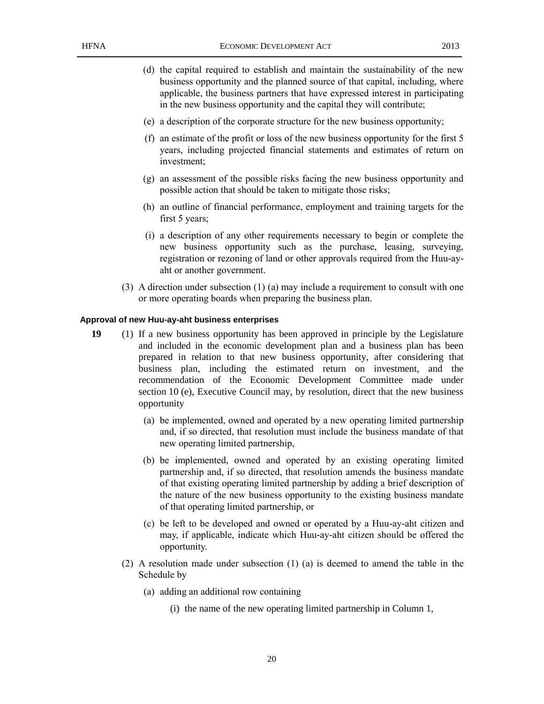- (d) the capital required to establish and maintain the sustainability of the new business opportunity and the planned source of that capital, including, where applicable, the business partners that have expressed interest in participating in the new business opportunity and the capital they will contribute;
- (e) a description of the corporate structure for the new business opportunity;
- (f) an estimate of the profit or loss of the new business opportunity for the first 5 years, including projected financial statements and estimates of return on investment;
- (g) an assessment of the possible risks facing the new business opportunity and possible action that should be taken to mitigate those risks;
- (h) an outline of financial performance, employment and training targets for the first 5 years;
- (i) a description of any other requirements necessary to begin or complete the new business opportunity such as the purchase, leasing, surveying, registration or rezoning of land or other approvals required from the Huu-ayaht or another government.
- (3) A direction under subsection (1) (a) may include a requirement to consult with one or more operating boards when preparing the business plan.

#### **Approval of new Huu-ay-aht business enterprises**

- **19** (1) If a new business opportunity has been approved in principle by the Legislature and included in the economic development plan and a business plan has been prepared in relation to that new business opportunity, after considering that business plan, including the estimated return on investment, and the recommendation of the Economic Development Committee made under section 10 (e), Executive Council may, by resolution, direct that the new business opportunity
	- (a) be implemented, owned and operated by a new operating limited partnership and, if so directed, that resolution must include the business mandate of that new operating limited partnership,
	- (b) be implemented, owned and operated by an existing operating limited partnership and, if so directed, that resolution amends the business mandate of that existing operating limited partnership by adding a brief description of the nature of the new business opportunity to the existing business mandate of that operating limited partnership, or
	- (c) be left to be developed and owned or operated by a Huu-ay-aht citizen and may, if applicable, indicate which Huu-ay-aht citizen should be offered the opportunity.
	- (2) A resolution made under subsection (1) (a) is deemed to amend the table in the Schedule by
		- (a) adding an additional row containing
			- (i) the name of the new operating limited partnership in Column 1,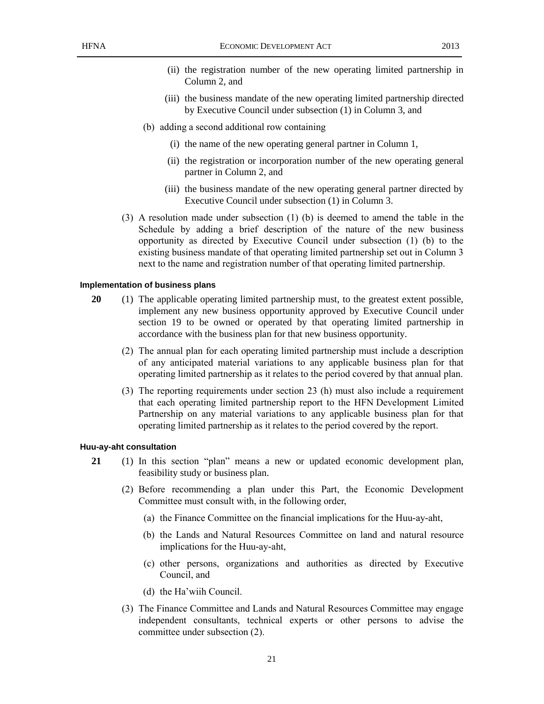- (ii) the registration number of the new operating limited partnership in Column 2, and
- (iii) the business mandate of the new operating limited partnership directed by Executive Council under subsection (1) in Column 3, and
- (b) adding a second additional row containing
	- (i) the name of the new operating general partner in Column 1,
	- (ii) the registration or incorporation number of the new operating general partner in Column 2, and
	- (iii) the business mandate of the new operating general partner directed by Executive Council under subsection (1) in Column 3.
- (3) A resolution made under subsection (1) (b) is deemed to amend the table in the Schedule by adding a brief description of the nature of the new business opportunity as directed by Executive Council under subsection (1) (b) to the existing business mandate of that operating limited partnership set out in Column 3 next to the name and registration number of that operating limited partnership.

#### **Implementation of business plans**

- **20** (1) The applicable operating limited partnership must, to the greatest extent possible, implement any new business opportunity approved by Executive Council under section 19 to be owned or operated by that operating limited partnership in accordance with the business plan for that new business opportunity.
	- (2) The annual plan for each operating limited partnership must include a description of any anticipated material variations to any applicable business plan for that operating limited partnership as it relates to the period covered by that annual plan.
	- (3) The reporting requirements under section 23 (h) must also include a requirement that each operating limited partnership report to the HFN Development Limited Partnership on any material variations to any applicable business plan for that operating limited partnership as it relates to the period covered by the report.

#### **Huu-ay-aht consultation**

- **21** (1) In this section "plan" means a new or updated economic development plan, feasibility study or business plan.
	- (2) Before recommending a plan under this Part, the Economic Development Committee must consult with, in the following order,
		- (a) the Finance Committee on the financial implications for the Huu-ay-aht,
		- (b) the Lands and Natural Resources Committee on land and natural resource implications for the Huu-ay-aht,
		- (c) other persons, organizations and authorities as directed by Executive Council, and
		- (d) the Ha'wiih Council.
	- (3) The Finance Committee and Lands and Natural Resources Committee may engage independent consultants, technical experts or other persons to advise the committee under subsection (2).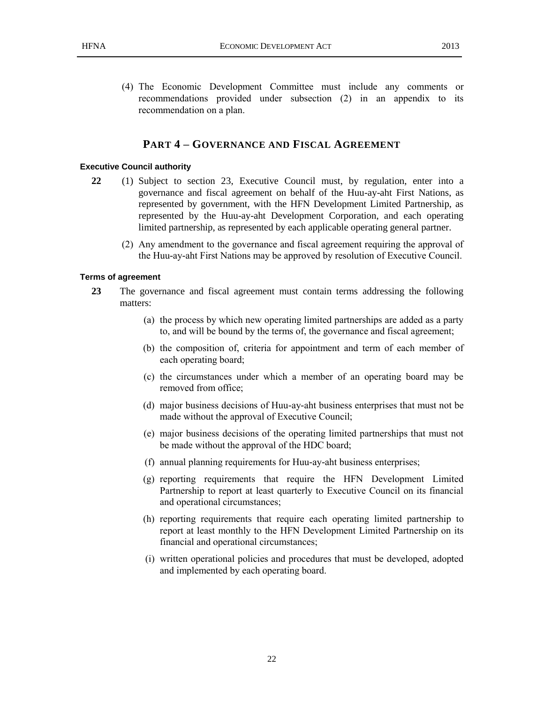(4) The Economic Development Committee must include any comments or recommendations provided under subsection (2) in an appendix to its recommendation on a plan.

## **PART 4 – GOVERNANCE AND FISCAL AGREEMENT**

#### **Executive Council authority**

- **22** (1) Subject to section 23, Executive Council must, by regulation, enter into a governance and fiscal agreement on behalf of the Huu-ay-aht First Nations, as represented by government, with the HFN Development Limited Partnership, as represented by the Huu-ay-aht Development Corporation, and each operating limited partnership, as represented by each applicable operating general partner.
	- (2) Any amendment to the governance and fiscal agreement requiring the approval of the Huu-ay-aht First Nations may be approved by resolution of Executive Council.

#### **Terms of agreement**

- **23** The governance and fiscal agreement must contain terms addressing the following matters:
	- (a) the process by which new operating limited partnerships are added as a party to, and will be bound by the terms of, the governance and fiscal agreement;
	- (b) the composition of, criteria for appointment and term of each member of each operating board;
	- (c) the circumstances under which a member of an operating board may be removed from office;
	- (d) major business decisions of Huu-ay-aht business enterprises that must not be made without the approval of Executive Council;
	- (e) major business decisions of the operating limited partnerships that must not be made without the approval of the HDC board;
	- (f) annual planning requirements for Huu-ay-aht business enterprises;
	- (g) reporting requirements that require the HFN Development Limited Partnership to report at least quarterly to Executive Council on its financial and operational circumstances;
	- (h) reporting requirements that require each operating limited partnership to report at least monthly to the HFN Development Limited Partnership on its financial and operational circumstances;
	- (i) written operational policies and procedures that must be developed, adopted and implemented by each operating board.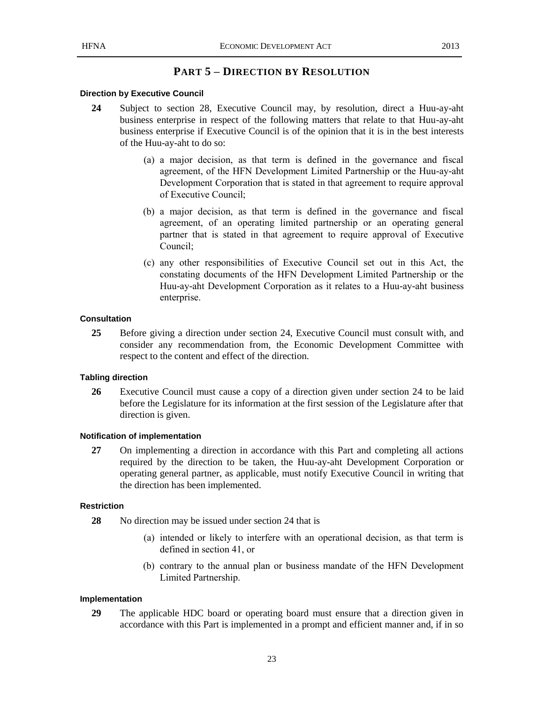## **PART 5 – DIRECTION BY RESOLUTION**

#### **Direction by Executive Council**

- **24** Subject to section 28, Executive Council may, by resolution, direct a Huu-ay-aht business enterprise in respect of the following matters that relate to that Huu-ay-aht business enterprise if Executive Council is of the opinion that it is in the best interests of the Huu-ay-aht to do so:
	- (a) a major decision, as that term is defined in the governance and fiscal agreement, of the HFN Development Limited Partnership or the Huu-ay-aht Development Corporation that is stated in that agreement to require approval of Executive Council;
	- (b) a major decision, as that term is defined in the governance and fiscal agreement, of an operating limited partnership or an operating general partner that is stated in that agreement to require approval of Executive Council;
	- (c) any other responsibilities of Executive Council set out in this Act, the constating documents of the HFN Development Limited Partnership or the Huu-ay-aht Development Corporation as it relates to a Huu-ay-aht business enterprise.

#### **Consultation**

**25** Before giving a direction under section 24, Executive Council must consult with, and consider any recommendation from, the Economic Development Committee with respect to the content and effect of the direction.

#### **Tabling direction**

**26** Executive Council must cause a copy of a direction given under section 24 to be laid before the Legislature for its information at the first session of the Legislature after that direction is given.

#### **Notification of implementation**

**27** On implementing a direction in accordance with this Part and completing all actions required by the direction to be taken, the Huu-ay-aht Development Corporation or operating general partner, as applicable, must notify Executive Council in writing that the direction has been implemented.

#### **Restriction**

- **28** No direction may be issued under section 24 that is
	- (a) intended or likely to interfere with an operational decision, as that term is defined in section 41, or
	- (b) contrary to the annual plan or business mandate of the HFN Development Limited Partnership.

#### **Implementation**

**29** The applicable HDC board or operating board must ensure that a direction given in accordance with this Part is implemented in a prompt and efficient manner and, if in so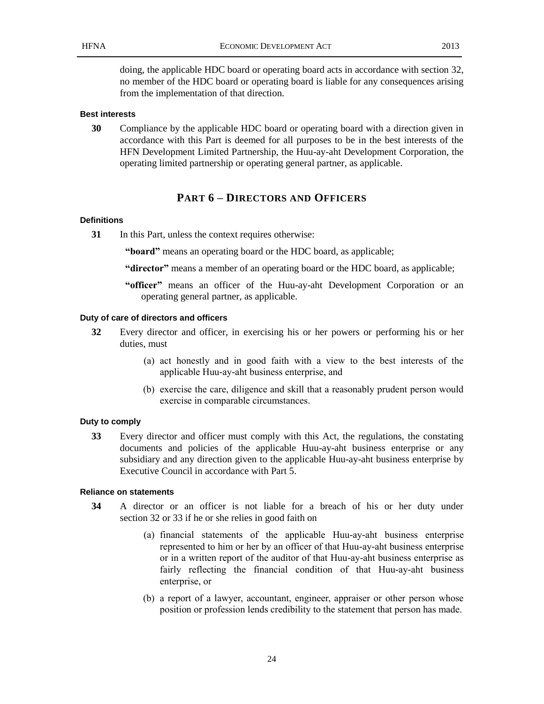doing, the applicable HDC board or operating board acts in accordance with section 32, no member of the HDC board or operating board is liable for any consequences arising from the implementation of that direction.

#### **Best interests**

**30** Compliance by the applicable HDC board or operating board with a direction given in accordance with this Part is deemed for all purposes to be in the best interests of the HFN Development Limited Partnership, the Huu-ay-aht Development Corporation, the operating limited partnership or operating general partner, as applicable.

## **PART 6 – DIRECTORS AND OFFICERS**

#### **Definitions**

**31** In this Part, unless the context requires otherwise:

**"board"** means an operating board or the HDC board, as applicable;

**"director"** means a member of an operating board or the HDC board, as applicable;

**"officer"** means an officer of the Huu-ay-aht Development Corporation or an operating general partner, as applicable.

#### **Duty of care of directors and officers**

- **32** Every director and officer, in exercising his or her powers or performing his or her duties, must
	- (a) act honestly and in good faith with a view to the best interests of the applicable Huu-ay-aht business enterprise, and
	- (b) exercise the care, diligence and skill that a reasonably prudent person would exercise in comparable circumstances.

#### **Duty to comply**

**33** Every director and officer must comply with this Act, the regulations, the constating documents and policies of the applicable Huu-ay-aht business enterprise or any subsidiary and any direction given to the applicable Huu-ay-aht business enterprise by Executive Council in accordance with Part 5.

#### **Reliance on statements**

- **34** A director or an officer is not liable for a breach of his or her duty under section 32 or 33 if he or she relies in good faith on
	- (a) financial statements of the applicable Huu-ay-aht business enterprise represented to him or her by an officer of that Huu-ay-aht business enterprise or in a written report of the auditor of that Huu-ay-aht business enterprise as fairly reflecting the financial condition of that Huu-ay-aht business enterprise, or
	- (b) a report of a lawyer, accountant, engineer, appraiser or other person whose position or profession lends credibility to the statement that person has made.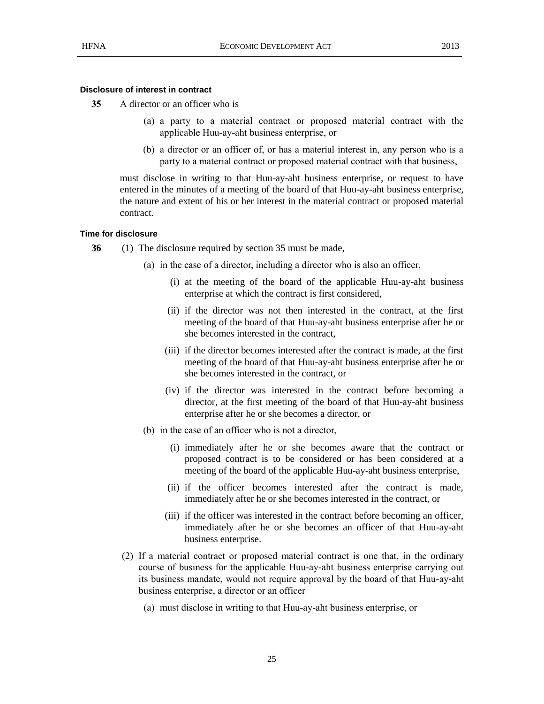#### **Disclosure of interest in contract**

- **35** A director or an officer who is
	- (a) a party to a material contract or proposed material contract with the applicable Huu-ay-aht business enterprise, or
	- (b) a director or an officer of, or has a material interest in, any person who is a party to a material contract or proposed material contract with that business,

must disclose in writing to that Huu-ay-aht business enterprise, or request to have entered in the minutes of a meeting of the board of that Huu-ay-aht business enterprise, the nature and extent of his or her interest in the material contract or proposed material contract.

#### **Time for disclosure**

- **36** (1) The disclosure required by section 35 must be made,
	- (a) in the case of a director, including a director who is also an officer,
		- (i) at the meeting of the board of the applicable Huu-ay-aht business enterprise at which the contract is first considered,
		- (ii) if the director was not then interested in the contract, at the first meeting of the board of that Huu-ay-aht business enterprise after he or she becomes interested in the contract,
		- (iii) if the director becomes interested after the contract is made, at the first meeting of the board of that Huu-ay-aht business enterprise after he or she becomes interested in the contract, or
		- (iv) if the director was interested in the contract before becoming a director, at the first meeting of the board of that Huu-ay-aht business enterprise after he or she becomes a director, or
	- (b) in the case of an officer who is not a director,
		- (i) immediately after he or she becomes aware that the contract or proposed contract is to be considered or has been considered at a meeting of the board of the applicable Huu-ay-aht business enterprise,
		- (ii) if the officer becomes interested after the contract is made, immediately after he or she becomes interested in the contract, or
		- (iii) if the officer was interested in the contract before becoming an officer, immediately after he or she becomes an officer of that Huu-ay-aht business enterprise.
	- (2) If a material contract or proposed material contract is one that, in the ordinary course of business for the applicable Huu-ay-aht business enterprise carrying out its business mandate, would not require approval by the board of that Huu-ay-aht business enterprise, a director or an officer
		- (a) must disclose in writing to that Huu-ay-aht business enterprise, or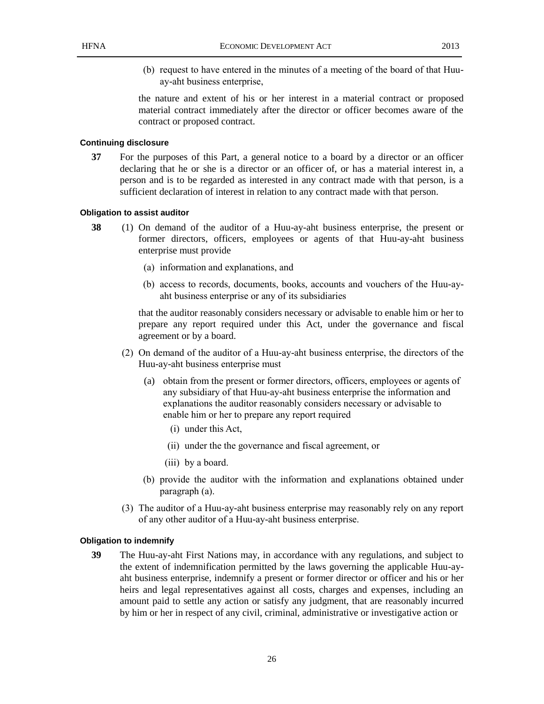(b) request to have entered in the minutes of a meeting of the board of that Huuay-aht business enterprise,

the nature and extent of his or her interest in a material contract or proposed material contract immediately after the director or officer becomes aware of the contract or proposed contract.

#### **Continuing disclosure**

**37** For the purposes of this Part, a general notice to a board by a director or an officer declaring that he or she is a director or an officer of, or has a material interest in, a person and is to be regarded as interested in any contract made with that person, is a sufficient declaration of interest in relation to any contract made with that person.

#### **Obligation to assist auditor**

- **38** (1) On demand of the auditor of a Huu-ay-aht business enterprise, the present or former directors, officers, employees or agents of that Huu-ay-aht business enterprise must provide
	- (a) information and explanations, and
	- (b) access to records, documents, books, accounts and vouchers of the Huu-ayaht business enterprise or any of its subsidiaries

that the auditor reasonably considers necessary or advisable to enable him or her to prepare any report required under this Act, under the governance and fiscal agreement or by a board.

- (2) On demand of the auditor of a Huu-ay-aht business enterprise, the directors of the Huu-ay-aht business enterprise must
	- (a) obtain from the present or former directors, officers, employees or agents of any subsidiary of that Huu-ay-aht business enterprise the information and explanations the auditor reasonably considers necessary or advisable to enable him or her to prepare any report required
		- (i) under this Act,
		- (ii) under the the governance and fiscal agreement, or
		- (iii) by a board.
	- (b) provide the auditor with the information and explanations obtained under paragraph (a).
- (3) The auditor of a Huu-ay-aht business enterprise may reasonably rely on any report of any other auditor of a Huu-ay-aht business enterprise.

#### **Obligation to indemnify**

**39** The Huu-ay-aht First Nations may, in accordance with any regulations, and subject to the extent of indemnification permitted by the laws governing the applicable Huu-ayaht business enterprise, indemnify a present or former director or officer and his or her heirs and legal representatives against all costs, charges and expenses, including an amount paid to settle any action or satisfy any judgment, that are reasonably incurred by him or her in respect of any civil, criminal, administrative or investigative action or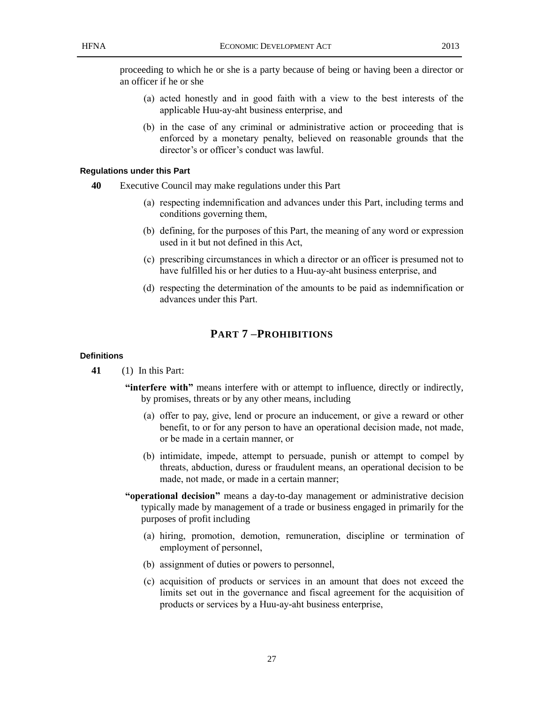- (a) acted honestly and in good faith with a view to the best interests of the applicable Huu-ay-aht business enterprise, and
- (b) in the case of any criminal or administrative action or proceeding that is enforced by a monetary penalty, believed on reasonable grounds that the director's or officer's conduct was lawful.

#### **Regulations under this Part**

- **40** Executive Council may make regulations under this Part
	- (a) respecting indemnification and advances under this Part, including terms and conditions governing them,
	- (b) defining, for the purposes of this Part, the meaning of any word or expression used in it but not defined in this Act,
	- (c) prescribing circumstances in which a director or an officer is presumed not to have fulfilled his or her duties to a Huu-ay-aht business enterprise, and
	- (d) respecting the determination of the amounts to be paid as indemnification or advances under this Part.

## **PART 7 –PROHIBITIONS**

#### **Definitions**

**41** (1) In this Part:

- **"interfere with"** means interfere with or attempt to influence, directly or indirectly, by promises, threats or by any other means, including
	- (a) offer to pay, give, lend or procure an inducement, or give a reward or other benefit, to or for any person to have an operational decision made, not made, or be made in a certain manner, or
	- (b) intimidate, impede, attempt to persuade, punish or attempt to compel by threats, abduction, duress or fraudulent means, an operational decision to be made, not made, or made in a certain manner;
- **"operational decision"** means a day-to-day management or administrative decision typically made by management of a trade or business engaged in primarily for the purposes of profit including
	- (a) hiring, promotion, demotion, remuneration, discipline or termination of employment of personnel,
	- (b) assignment of duties or powers to personnel,
	- (c) acquisition of products or services in an amount that does not exceed the limits set out in the governance and fiscal agreement for the acquisition of products or services by a Huu-ay-aht business enterprise,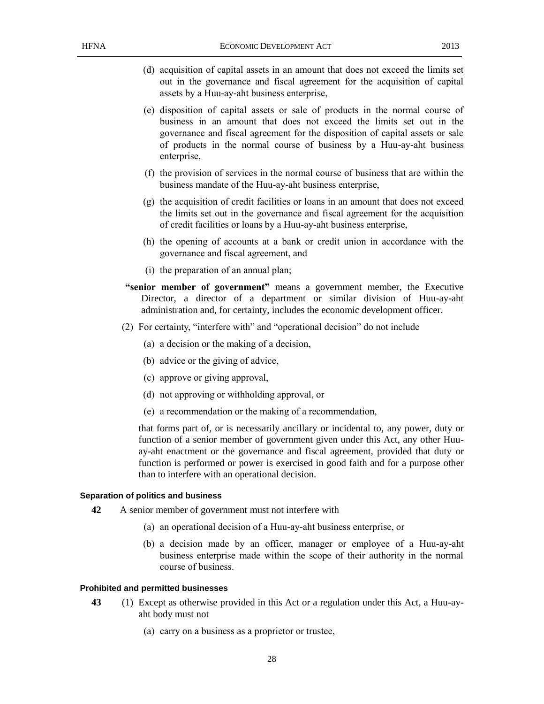- (d) acquisition of capital assets in an amount that does not exceed the limits set out in the governance and fiscal agreement for the acquisition of capital assets by a Huu-ay-aht business enterprise,
- (e) disposition of capital assets or sale of products in the normal course of business in an amount that does not exceed the limits set out in the governance and fiscal agreement for the disposition of capital assets or sale of products in the normal course of business by a Huu-ay-aht business enterprise,
- (f) the provision of services in the normal course of business that are within the business mandate of the Huu-ay-aht business enterprise,
- (g) the acquisition of credit facilities or loans in an amount that does not exceed the limits set out in the governance and fiscal agreement for the acquisition of credit facilities or loans by a Huu-ay-aht business enterprise,
- (h) the opening of accounts at a bank or credit union in accordance with the governance and fiscal agreement, and
- (i) the preparation of an annual plan;
- **"senior member of government"** means a government member, the Executive Director, a director of a department or similar division of Huu-ay-aht administration and, for certainty, includes the economic development officer.
- (2) For certainty, "interfere with" and "operational decision" do not include
	- (a) a decision or the making of a decision,
	- (b) advice or the giving of advice,
	- (c) approve or giving approval,
	- (d) not approving or withholding approval, or
	- (e) a recommendation or the making of a recommendation,

that forms part of, or is necessarily ancillary or incidental to, any power, duty or function of a senior member of government given under this Act, any other Huuay-aht enactment or the governance and fiscal agreement, provided that duty or function is performed or power is exercised in good faith and for a purpose other than to interfere with an operational decision.

#### **Separation of politics and business**

- **42** A senior member of government must not interfere with
	- (a) an operational decision of a Huu-ay-aht business enterprise, or
	- (b) a decision made by an officer, manager or employee of a Huu-ay-aht business enterprise made within the scope of their authority in the normal course of business.

#### **Prohibited and permitted businesses**

- **43** (1) Except as otherwise provided in this Act or a regulation under this Act, a Huu-ayaht body must not
	- (a) carry on a business as a proprietor or trustee,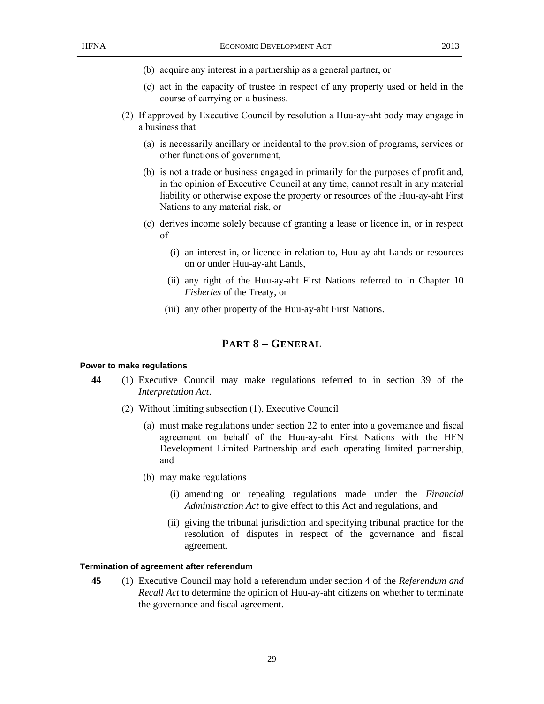- (b) acquire any interest in a partnership as a general partner, or
- (c) act in the capacity of trustee in respect of any property used or held in the course of carrying on a business.
- (2) If approved by Executive Council by resolution a Huu-ay-aht body may engage in a business that
	- (a) is necessarily ancillary or incidental to the provision of programs, services or other functions of government,
	- (b) is not a trade or business engaged in primarily for the purposes of profit and, in the opinion of Executive Council at any time, cannot result in any material liability or otherwise expose the property or resources of the Huu-ay-aht First Nations to any material risk, or
	- (c) derives income solely because of granting a lease or licence in, or in respect of
		- (i) an interest in, or licence in relation to, Huu-ay-aht Lands or resources on or under Huu-ay-aht Lands,
		- (ii) any right of the Huu-ay-aht First Nations referred to in Chapter 10 *Fisheries* of the Treaty, or
		- (iii) any other property of the Huu-ay-aht First Nations.

## **PART 8 – GENERAL**

#### **Power to make regulations**

- **44** (1) Executive Council may make regulations referred to in section 39 of the *Interpretation Act*.
	- (2) Without limiting subsection (1), Executive Council
		- (a) must make regulations under section 22 to enter into a governance and fiscal agreement on behalf of the Huu-ay-aht First Nations with the HFN Development Limited Partnership and each operating limited partnership, and
		- (b) may make regulations
			- (i) amending or repealing regulations made under the *Financial Administration Act* to give effect to this Act and regulations, and
			- (ii) giving the tribunal jurisdiction and specifying tribunal practice for the resolution of disputes in respect of the governance and fiscal agreement.

#### **Termination of agreement after referendum**

**45** (1) Executive Council may hold a referendum under section 4 of the *Referendum and Recall Act* to determine the opinion of Huu-ay-aht citizens on whether to terminate the governance and fiscal agreement.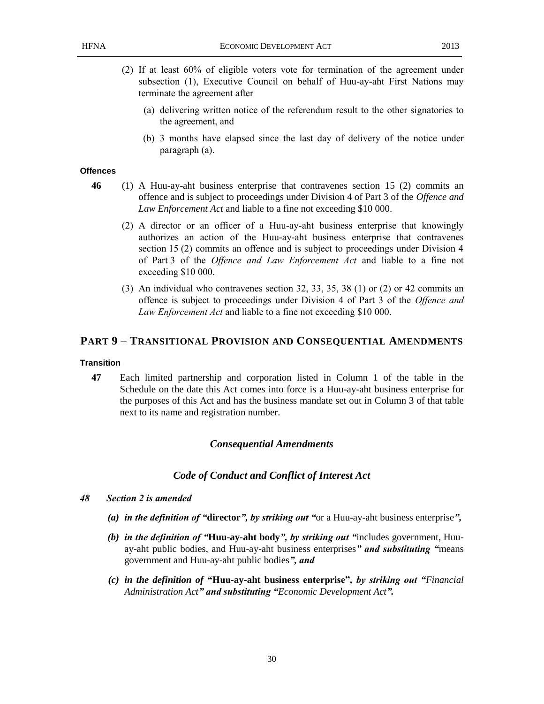- (2) If at least 60% of eligible voters vote for termination of the agreement under subsection (1), Executive Council on behalf of Huu-ay-aht First Nations may terminate the agreement after
	- (a) delivering written notice of the referendum result to the other signatories to the agreement, and
	- (b) 3 months have elapsed since the last day of delivery of the notice under paragraph (a).

#### **Offences**

- **46** (1) A Huu-ay-aht business enterprise that contravenes section 15 (2) commits an offence and is subject to proceedings under Division 4 of Part 3 of the *Offence and Law Enforcement Act* and liable to a fine not exceeding \$10 000.
	- (2) A director or an officer of a Huu-ay-aht business enterprise that knowingly authorizes an action of the Huu-ay-aht business enterprise that contravenes section 15 (2) commits an offence and is subject to proceedings under Division 4 of Part 3 of the *Offence and Law Enforcement Act* and liable to a fine not exceeding \$10 000.
	- (3) An individual who contravenes section 32, 33, 35, 38 (1) or (2) or 42 commits an offence is subject to proceedings under Division 4 of Part 3 of the *Offence and Law Enforcement Act* and liable to a fine not exceeding \$10 000.

#### **PART 9 – TRANSITIONAL PROVISION AND CONSEQUENTIAL AMENDMENTS**

#### **Transition**

**47** Each limited partnership and corporation listed in Column 1 of the table in the Schedule on the date this Act comes into force is a Huu-ay-aht business enterprise for the purposes of this Act and has the business mandate set out in Column 3 of that table next to its name and registration number.

#### *Consequential Amendments*

#### *Code of Conduct and Conflict of Interest Act*

- *48 Section 2 is amended*
	- *(a) in the definition of "***director***", by striking out "*or a Huu-ay-aht business enterprise*",*
	- *(b) in the definition of "***Huu-ay-aht body***", by striking out "*includes government, Huuay-aht public bodies, and Huu-ay-aht business enterprises*" and substituting "*means government and Huu-ay-aht public bodies*", and*
	- *(c) in the definition of* **"Huu-ay-aht business enterprise"***, by striking out "Financial Administration Act" and substituting "Economic Development Act".*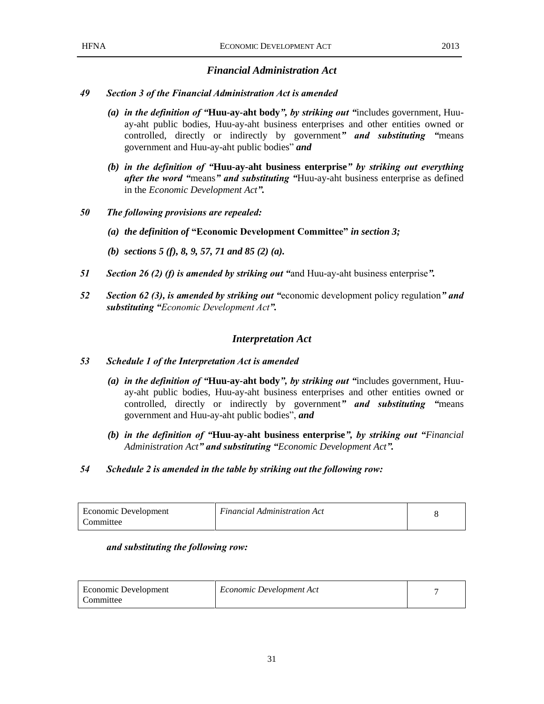### *Financial Administration Act*

#### *49 Section 3 of the Financial Administration Act is amended*

- *(a) in the definition of "***Huu-ay-aht body***", by striking out "*includes government, Huuay-aht public bodies, Huu-ay-aht business enterprises and other entities owned or controlled, directly or indirectly by government*" and substituting "*means government and Huu-ay-aht public bodies" *and*
- *(b) in the definition of "***Huu-ay-aht business enterprise***" by striking out everything after the word "*means*" and substituting "*Huu-ay-aht business enterprise as defined in the *Economic Development Act".*
- *50 The following provisions are repealed:*
	- *(a) the definition of* **"Economic Development Committee"** *in section 3;*
	- *(b) sections 5 (f), 8, 9, 57, 71 and 85 (2) (a).*
- *51 Section 26 (2) (f) is amended by striking out "*and Huu-ay-aht business enterprise*".*
- *52 Section 62 (3), is amended by striking out "*economic development policy regulation*" and substituting "Economic Development Act".*

#### *Interpretation Act*

#### *53 Schedule 1 of the Interpretation Act is amended*

- *(a) in the definition of "***Huu-ay-aht body***", by striking out "*includes government, Huuay-aht public bodies, Huu-ay-aht business enterprises and other entities owned or controlled, directly or indirectly by government*" and substituting "*means government and Huu-ay-aht public bodies", *and*
- *(b) in the definition of "***Huu-ay-aht business enterprise***", by striking out "Financial Administration Act" and substituting "Economic Development Act".*
- *54 Schedule 2 is amended in the table by striking out the following row:*

| Economic Development | <b>Financial Administration Act</b> |  |
|----------------------|-------------------------------------|--|
| Committee            |                                     |  |

#### *and substituting the following row:*

| Economic Development | Economic Development Act |  |
|----------------------|--------------------------|--|
| Committee            |                          |  |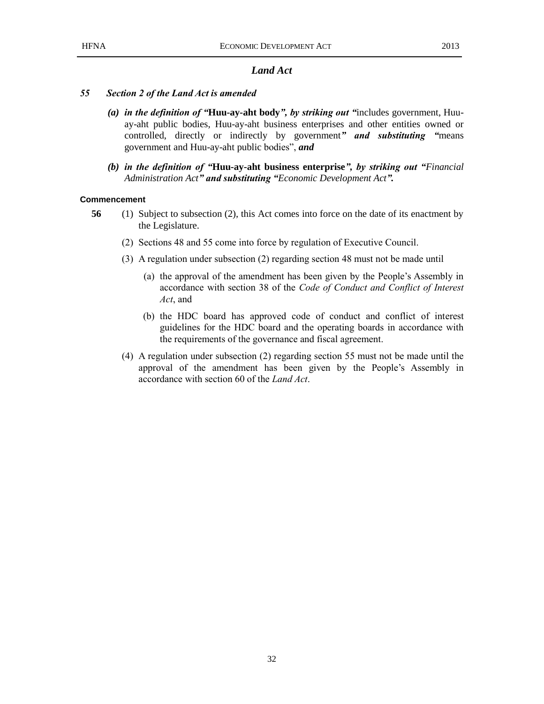## *Land Act*

#### *55 Section 2 of the Land Act is amended*

- *(a) in the definition of "***Huu-ay-aht body***", by striking out "*includes government, Huuay-aht public bodies, Huu-ay-aht business enterprises and other entities owned or controlled, directly or indirectly by government*" and substituting "*means government and Huu-ay-aht public bodies", *and*
- *(b) in the definition of "***Huu-ay-aht business enterprise***", by striking out "Financial Administration Act" and substituting "Economic Development Act".*

#### **Commencement**

- **56** (1) Subject to subsection (2), this Act comes into force on the date of its enactment by the Legislature.
	- (2) Sections 48 and 55 come into force by regulation of Executive Council.
	- (3) A regulation under subsection (2) regarding section 48 must not be made until
		- (a) the approval of the amendment has been given by the People's Assembly in accordance with section 38 of the *Code of Conduct and Conflict of Interest Act*, and
		- (b) the HDC board has approved code of conduct and conflict of interest guidelines for the HDC board and the operating boards in accordance with the requirements of the governance and fiscal agreement.
	- (4) A regulation under subsection (2) regarding section 55 must not be made until the approval of the amendment has been given by the People's Assembly in accordance with section 60 of the *Land Act*.